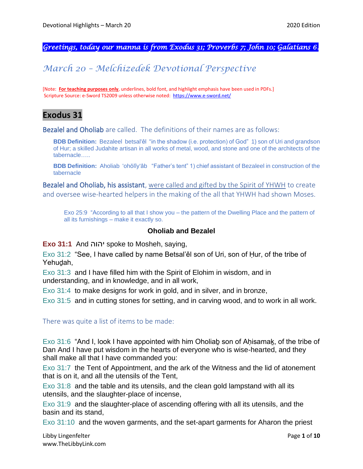*Greetings, today our manna is from Exodus 31; Proverbs 7; John 10; Galatians 6.* 

# *March 20 – Melchizedek Devotional Perspective*

[Note: **For teaching purposes only**, underlines, bold font, and highlight emphasis have been used in PDFs.] Scripture Source: e-Sword TS2009 unless otherwise noted: <https://www.e-sword.net/>

## **Exodus 31**

Bezalel and Oholiab are called. The definitions of their names are as follows:

**BDB Definition:** Bezaleel betsal'êl "in the shadow (i.e. protection) of God" 1) son of Uri and grandson of Hur; a skilled Judahite artisan in all works of metal, wood, and stone and one of the architects of the tabernacle…..

**BDB Definition:** Aholiab 'ohŏlîy'âb "Father's tent" 1) chief assistant of Bezaleel in construction of the tabernacle

Bezalel and Oholiab, his assistant, were called and gifted by the Spirit of YHWH to create and oversee wise-hearted helpers in the making of the all that YHWH had shown Moses.

Exo 25:9 "According to all that I show you – the pattern of the Dwelling Place and the pattern of all its furnishings – make it exactly so.

### **Oholiab and Bezalel**

**Exo 31:1** And יהוה spoke to Mosheh, saying,

Exo 31:2 "See, I have called by name Betsal'ěl son of Uri, son of Ḥur, of the tribe of Yehuḏah,

Exo 31:3 and I have filled him with the Spirit of Elohim in wisdom, and in understanding, and in knowledge, and in all work,

Exo 31:4 to make designs for work in gold, and in silver, and in bronze,

Exo 31:5 and in cutting stones for setting, and in carving wood, and to work in all work.

There was quite a list of items to be made:

Exo 31:6 "And I, look I have appointed with him Oholiab son of Ahisamak, of the tribe of Dan And I have put wisdom in the hearts of everyone who is wise-hearted, and they shall make all that I have commanded you:

Exo 31:7 the Tent of Appointment, and the ark of the Witness and the lid of atonement that is on it, and all the utensils of the Tent,

Exo 31:8 and the table and its utensils, and the clean gold lampstand with all its utensils, and the slaughter-place of incense,

Exo 31:9 and the slaughter-place of ascending offering with all its utensils, and the basin and its stand,

Exo 31:10 and the woven garments, and the set-apart garments for Aharon the priest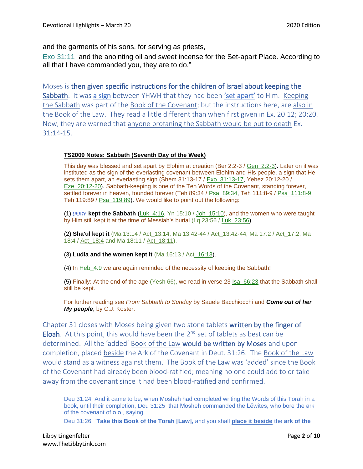and the garments of his sons, for serving as priests,

Exo 31:11 and the anointing oil and sweet incense for the Set-apart Place. According to all that I have commanded you, they are to do."

Moses is then given specific instructions for the children of Israel about keeping the Sabbath. It was a sign between YHWH that they had been 'set apart' to Him. Keeping the Sabbath was part of the Book of the Covenant; but the instructions here, are also in the Book of the Law. They read a little different than when first given in Ex. 20:12; 20:20. Now, they are warned that anyone profaning the Sabbath would be put to death Ex. 31:14-15.

#### **TS2009 Notes: Sabbath (Seventh Day of the Week)**

This day was blessed and set apart by Elohim at creation (Ber 2:2-3 / Gen\_2:2-3). Later on it was instituted as the sign of the everlasting covenant between Elohim and His people, a sign that He sets them apart, an everlasting sign (Shem 31:13-17 / Exo\_31:13-17, Yeḥez 20:12-20 / Eze\_20:12-20). Sabbath-keeping is one of the Ten Words of the Covenant, standing forever, settled forever in heaven, founded forever (Teh 89:34 / Psa\_89:34, Teh 111:8-9 / Psa\_111:8-9, Teh 119:89 / Psa\_119:89). We would like to point out the following:

(1) יהושע **kept the Sabbath** (Luk\_4:16, Yn 15:10 / Joh\_15:10), and the women who were taught by Him still kept it at the time of Messiah's burial (Lq 23:56 / Luk\_23:56).

(2**) Sha'ul kept it** (Ma 13:14 / Act\_13:14, Ma 13:42-44 / Act\_13:42-44, Ma 17:2 / Act\_17:2, Ma 18:4 / Act 18:4 and Ma 18:11 / Act 18:11).

(3) **Ludia and the women kept it** (Ma 16:13 / Act\_16:13).

(4) In Heb\_4:9 we are again reminded of the necessity of keeping the Sabbath!

(5) Finally: At the end of the age (Yesh 66), we read in verse 23 Isa\_66:23 that the Sabbath shall still be kept.

For further reading see *From Sabbath to Sunday* by Sauele Bacchiocchi and *Come out of her My people*, by C.J. Koster.

Chapter 31 closes with Moses being given two stone tablets written by the finger of **Eloah.** At this point, this would have been the  $2<sup>nd</sup>$  set of tablets as best can be determined. All the 'added' Book of the Law would be written by Moses and upon completion, placed beside the Ark of the Covenant in Deut. 31:26. The Book of the Law would stand as a witness against them. The Book of the Law was 'added' since the Book of the Covenant had already been blood-ratified; meaning no one could add to or take away from the covenant since it had been blood-ratified and confirmed.

Deu 31:24 And it came to be, when Mosheh had completed writing the Words of this Torah in a book, until their completion, Deu 31:25 that Mosheh commanded the Lěwites, who bore the ark of the covenant of יהוה, saying,

Deu 31:26 "**Take this Book of the Torah [Law],** and you shall **place it beside** the **ark of the**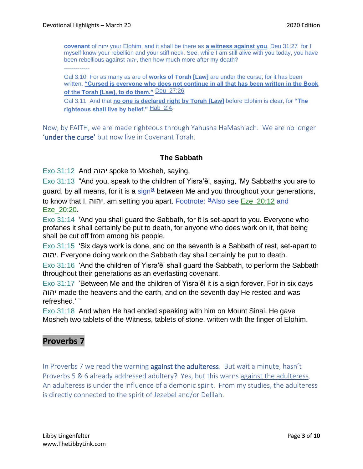**covenant** of יהוה your Elohim, and it shall be there as **a witness against you**, Deu 31:27 for I myself know your rebellion and your stiff neck. See, while I am still alive with you today, you have been rebellious against יהוה, then how much more after my death?

-------------

Gal 3:10 For as many as are of **works of Torah [Law]** are under the curse, for it has been written, **"Cursed is everyone who does not continue in all that has been written in the Book of the Torah [Law], to do them."** Deu\_27:26.

Gal 3:11 And that **no one is declared right by Torah [Law]** before Elohim is clear, for **"The righteous shall live by belief."** Hab\_2:4.

Now, by FAITH, we are made righteous through Yahusha HaMashiach. We are no longer 'under the curse' but now live in Covenant Torah.

### **The Sabbath**

Exo 31:12 And יהוה spoke to Mosheh, saying,

Exo 31:13 "And you, speak to the children of Yisra'ěl, saying, 'My Sabbaths you are to guard, by all means, for it is a sign<sup>a</sup> between Me and you throughout your generations, to know that I, יהוה, am setting you apart. Footnote: <sup>a</sup>Also see Eze 20:12 and Eze\_20:20.

Exo 31:14 'And you shall guard the Sabbath, for it is set-apart to you. Everyone who profanes it shall certainly be put to death, for anyone who does work on it, that being shall be cut off from among his people.

Exo 31:15 'Six days work is done, and on the seventh is a Sabbath of rest, set-apart to יהוה. Everyone doing work on the Sabbath day shall certainly be put to death.

Exo 31:16 'And the children of Yisra'ěl shall guard the Sabbath, to perform the Sabbath throughout their generations as an everlasting covenant.

Exo 31:17 'Between Me and the children of Yisra'ěl it is a sign forever. For in six days יהוה made the heavens and the earth, and on the seventh day He rested and was refreshed.' "

Exo 31:18 And when He had ended speaking with him on Mount Sinai, He gave Mosheh two tablets of the Witness, tablets of stone, written with the finger of Elohim.

## **Proverbs 7**

In Proverbs 7 we read the warning against the adulteress. But wait a minute, hasn't Proverbs 5 & 6 already addressed adultery? Yes, but this warns against the adulteress. An adulteress is under the influence of a demonic spirit. From my studies, the adulteress is directly connected to the spirit of Jezebel and/or Delilah.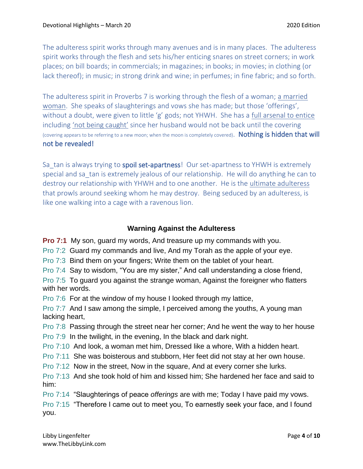The adulteress spirit works through many avenues and is in many places. The adulteress spirit works through the flesh and sets his/her enticing snares on street corners; in work places; on bill boards; in commercials; in magazines; in books; in movies; in clothing (or lack thereof); in music; in strong drink and wine; in perfumes; in fine fabric; and so forth.

The adulteress spirit in Proverbs 7 is working through the flesh of a woman; a married woman. She speaks of slaughterings and vows she has made; but those 'offerings', without a doubt, were given to little 'g' gods; not YHWH. She has a full arsenal to entice including 'not being caught' since her husband would not be back until the covering (covering appears to be referring to a new moon; when the moon is completely covered). Nothing is hidden that will not be revealed!

Sa tan is always trying to spoil set-apartness! Our set-apartness to YHWH is extremely special and sa tan is extremely jealous of our relationship. He will do anything he can to destroy our relationship with YHWH and to one another. He is the ultimate adulteress that prowls around seeking whom he may destroy. Being seduced by an adulteress, is like one walking into a cage with a ravenous lion.

### **Warning Against the Adulteress**

**Pro 7:1** My son, guard my words, And treasure up my commands with you.

Pro 7:2 Guard my commands and live, And my Torah as the apple of your eye.

Pro 7:3 Bind them on your fingers; Write them on the tablet of your heart.

Pro 7:4 Say to wisdom, "You are my sister," And call understanding a close friend,

Pro 7:5 To guard you against the strange woman, Against the foreigner who flatters with her words.

Pro 7:6 For at the window of my house I looked through my lattice,

Pro 7:7 And I saw among the simple, I perceived among the youths, A young man lacking heart,

Pro 7:8 Passing through the street near her corner; And he went the way to her house Pro 7:9 In the twilight, in the evening, In the black and dark night.

Pro 7:10 And look, a woman met him, Dressed like a whore, With a hidden heart.

Pro 7:11 She was boisterous and stubborn, Her feet did not stay at her own house.

Pro 7:12 Now in the street, Now in the square, And at every corner she lurks.

Pro 7:13 And she took hold of him and kissed him; She hardened her face and said to him:

Pro 7:14 "Slaughterings of peace *offerings* are with me; Today I have paid my vows.

Pro 7:15 "Therefore I came out to meet you, To earnestly seek your face, and I found you.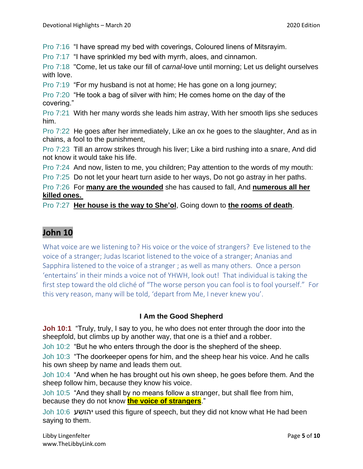Pro 7:16 "I have spread my bed with coverings, Coloured linens of Mitsrayim.

Pro 7:17 "I have sprinkled my bed with myrrh, aloes, and cinnamon.

Pro 7:18 "Come, let us take our fill of *carnal*-love until morning; Let us delight ourselves with love.

Pro 7:19 "For my husband is not at home; He has gone on a long journey;

Pro 7:20 "He took a bag of silver with him; He comes home on the day of the covering."

Pro 7:21 With her many words she leads him astray, With her smooth lips she seduces him.

Pro 7:22 He goes after her immediately, Like an ox he goes to the slaughter, And as in chains, a fool to the punishment,

Pro 7:23 Till an arrow strikes through his liver; Like a bird rushing into a snare, And did not know it would take his life.

Pro 7:24 And now, listen to me, you children; Pay attention to the words of my mouth:

Pro 7:25 Do not let your heart turn aside to her ways, Do not go astray in her paths.

Pro 7:26 For **many are the wounded** she has caused to fall, And **numerous all her killed ones.**

Pro 7:27 **Her house is the way to She'ol**, Going down to **the rooms of death**.

# **John 10**

What voice are we listening to? His voice or the voice of strangers? Eve listened to the voice of a stranger; Judas Iscariot listened to the voice of a stranger; Ananias and Sapphira listened to the voice of a stranger ; as well as many others. Once a person 'entertains' in their minds a voice not of YHWH, look out! That individual is taking the first step toward the old cliché of "The worse person you can fool is to fool yourself." For this very reason, many will be told, 'depart from Me, I never knew you'.

### **I Am the Good Shepherd**

**Joh 10:1** "Truly, truly, I say to you, he who does not enter through the door into the sheepfold, but climbs up by another way, that one is a thief and a robber.

Joh 10:2 "But he who enters through the door is the shepherd of the sheep.

Joh 10:3 "The doorkeeper opens for him, and the sheep hear his voice. And he calls his own sheep by name and leads them out.

Joh 10:4 "And when he has brought out his own sheep, he goes before them. And the sheep follow him, because they know his voice.

Joh 10:5 "And they shall by no means follow a stranger, but shall flee from him, because they do not know **the voice of strangers**."

Joh 10:6 יהושע used this figure of speech, but they did not know what He had been saying to them.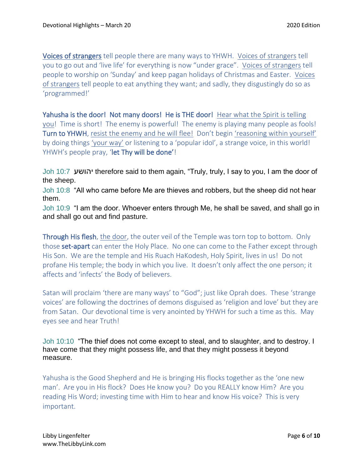Voices of strangers tell people there are many ways to YHWH. Voices of strangers tell you to go out and 'live life' for everything is now "under grace". Voices of strangers tell people to worship on 'Sunday' and keep pagan holidays of Christmas and Easter. Voices of strangers tell people to eat anything they want; and sadly, they disgustingly do so as 'programmed!'

Yahusha is the door! Not many doors! He is THE door! Hear what the Spirit is telling you! Time is short! The enemy is powerful! The enemy is playing many people as fools! Turn to YHWH, resist the enemy and he will flee! Don't begin 'reasoning within yourself' by doing things 'your way' or listening to a 'popular idol', a strange voice, in this world! YHWH's people pray, 'let Thy will be done'!

Joh 10:7 יהושע therefore said to them again, "Truly, truly, I say to you, I am the door of the sheep.

Joh 10:8 "All who came before Me are thieves and robbers, but the sheep did not hear them.

Joh 10:9 "I am the door. Whoever enters through Me, he shall be saved, and shall go in and shall go out and find pasture.

Through His flesh, the door, the outer veil of the Temple was torn top to bottom. Only those **set-apart** can enter the Holy Place. No one can come to the Father except through His Son. We are the temple and His Ruach HaKodesh, Holy Spirit, lives in us! Do not profane His temple; the body in which you live. It doesn't only affect the one person; it affects and 'infects' the Body of believers.

Satan will proclaim 'there are many ways' to "God"; just like Oprah does. These 'strange voices' are following the doctrines of demons disguised as 'religion and love' but they are from Satan. Our devotional time is very anointed by YHWH for such a time as this. May eyes see and hear Truth!

Joh 10:10 "The thief does not come except to steal, and to slaughter, and to destroy. I have come that they might possess life, and that they might possess it beyond measure.

Yahusha is the Good Shepherd and He is bringing His flocks together as the 'one new man'. Are you in His flock? Does He know you? Do you REALLY know Him? Are you reading His Word; investing time with Him to hear and know His voice? This is very important.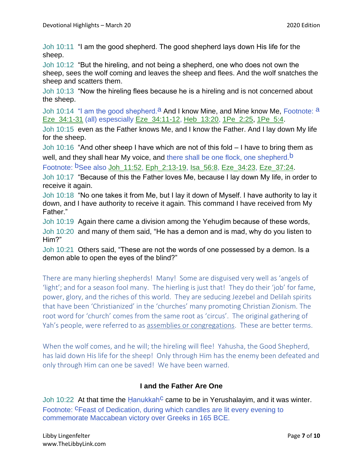Joh 10:11 "I am the good shepherd. The good shepherd lays down His life for the sheep.

Joh 10:12 "But the hireling, and not being a shepherd, one who does not own the sheep, sees the wolf coming and leaves the sheep and flees. And the wolf snatches the sheep and scatters them.

Joh 10:13 "Now the hireling flees because he is a hireling and is not concerned about the sheep.

Joh 10:14 "I am the good shepherd.<sup>a</sup> And I know Mine, and Mine know Me, Footnote: a Eze\_34:1-31 (all) espescially Eze\_34:11-12, Heb\_13:20, 1Pe\_2:25, 1Pe\_5:4.

Joh 10:15 even as the Father knows Me, and I know the Father. And I lay down My life for the sheep.

Joh 10:16 "And other sheep I have which are not of this fold – I have to bring them as well, and they shall hear My voice, and there shall be one flock, one shepherd.<sup>b</sup>

Footnote: bSee also Joh\_11:52, Eph\_2:13-19, Isa\_56:8, Eze\_34:23, Eze\_37:24.

Joh 10:17 "Because of this the Father loves Me, because I lay down My life, in order to receive it again.

Joh 10:18 "No one takes it from Me, but I lay it down of Myself. I have authority to lay it down, and I have authority to receive it again. This command I have received from My Father."

Joh 10:19 Again there came a division among the Yehuḏim because of these words, Joh 10:20 and many of them said, "He has a demon and is mad, why do you listen to Him?"

Joh 10:21 Others said, "These are not the words of one possessed by a demon. Is a demon able to open the eyes of the blind?"

There are many hierling shepherds! Many! Some are disguised very well as 'angels of 'light'; and for a season fool many. The hierling is just that! They do their 'job' for fame, power, glory, and the riches of this world. They are seducing Jezebel and Delilah spirits that have been 'Christianized' in the 'churches' many promoting Christian Zionism. The root word for 'church' comes from the same root as 'circus'. The original gathering of Yah's people, were referred to as assemblies or congregations. These are better terms.

When the wolf comes, and he will; the hireling will flee! Yahusha, the Good Shepherd, has laid down His life for the sheep! Only through Him has the enemy been defeated and only through Him can one be saved! We have been warned.

### **I and the Father Are One**

Joh 10:22 At that time the Hanukkah<sup>c</sup> came to be in Yerushalayim, and it was winter. Footnote: <sup>C</sup>Feast of Dedication, during which candles are lit every evening to commemorate Maccabean victory over Greeks in 165 BCE.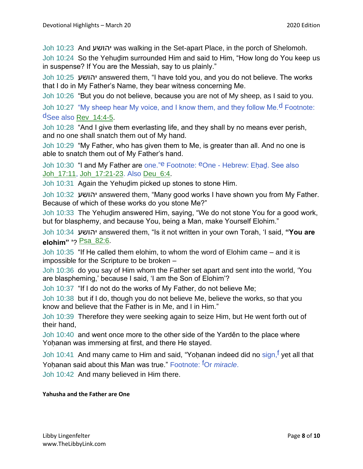Joh 10:23 And יהושע was walking in the Set-apart Place, in the porch of Shelomoh.

Joh 10:24 So the Yehuḏim surrounded Him and said to Him, "How long do You keep us in suspense? If You are the Messiah, say to us plainly."

Joh 10:25 יהושע answered them, "I have told you, and you do not believe. The works that I do in My Father's Name, they bear witness concerning Me.

Joh 10:26 "But you do not believe, because you are not of My sheep, as I said to you.

Joh 10:27 "My sheep hear My voice, and I know them, and they follow Me.<sup>d</sup> Footnote: dSee also Rev\_14:4-5.

Joh 10:28 "And I give them everlasting life, and they shall by no means ever perish, and no one shall snatch them out of My hand.

Joh 10:29 "My Father, who has given them to Me, is greater than all. And no one is able to snatch them out of My Father's hand.

Joh 10:30 "I and My Father are one."e Footnote: eOne - Hebrew: Eḥaḏ. See also Joh\_17:11, Joh\_17:21-23. Also Deu\_6:4.

Joh 10:31 Again the Yehudim picked up stones to stone Him.

Joh 10:32 יהושע answered them, "Many good works I have shown you from My Father. Because of which of these works do you stone Me?"

Joh 10:33 The Yehuḏim answered Him, saying, "We do not stone You for a good work, but for blasphemy, and because You, being a Man, make Yourself Elohim."

Joh 10:34 יהושע answered them, "Is it not written in your own Torah, 'I said, **"You are elohim" '**? Psa\_82:6.

Joh 10:35 "If He called them elohim, to whom the word of Elohim came – and it is impossible for the Scripture to be broken –

Joh 10:36 do you say of Him whom the Father set apart and sent into the world, 'You are blaspheming,' because I said, 'I am the Son of Elohim'?

Joh 10:37 "If I do not do the works of My Father, do not believe Me;

Joh 10:38 but if I do, though you do not believe Me, believe the works, so that you know and believe that the Father is in Me, and I in Him."

Joh 10:39 Therefore they were seeking again to seize Him, but He went forth out of their hand,

Joh 10:40 and went once more to the other side of the Yarděn to the place where Yoḥanan was immersing at first, and there He stayed.

Joh 10:41 And many came to Him and said, "Yoḥanan indeed did no sign, f yet all that Yoḥanan said about this Man was true." Footnote: fOr *miracle*.

Joh 10:42 And many believed in Him there.

#### **Yahusha and the Father are One**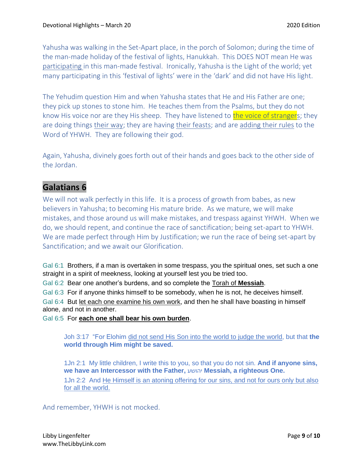Yahusha was walking in the Set-Apart place, in the porch of Solomon; during the time of the man-made holiday of the festival of lights, Hanukkah. This DOES NOT mean He was participating in this man-made festival. Ironically, Yahusha is the Light of the world; yet many participating in this 'festival of lights' were in the 'dark' and did not have His light.

The Yehudim question Him and when Yahusha states that He and His Father are one; they pick up stones to stone him. He teaches them from the Psalms, but they do not know His voice nor are they His sheep. They have listened to the voice of strangers; they are doing things their way; they are having their feasts; and are adding their rules to the Word of YHWH. They are following their god.

Again, Yahusha, divinely goes forth out of their hands and goes back to the other side of the Jordan.

## **Galatians 6**

We will not walk perfectly in this life. It is a process of growth from babes, as new believers in Yahusha; to becoming His mature bride. As we mature, we will make mistakes, and those around us will make mistakes, and trespass against YHWH. When we do, we should repent, and continue the race of sanctification; being set-apart to YHWH. We are made perfect through Him by Justification; we run the race of being set-apart by Sanctification; and we await our Glorification.

Gal 6:1 Brothers, if a man is overtaken in some trespass, you the spiritual ones, set such a one straight in a spirit of meekness, looking at yourself lest you be tried too.

Gal 6:2 Bear one another's burdens, and so complete the Torah of **Messiah**.

Gal 6:3 For if anyone thinks himself to be somebody, when he is not, he deceives himself.

Gal 6:4 But let each one examine his own work, and then he shall have boasting in himself alone, and not in another.

Gal 6:5 For **each one shall bear his own burden**.

Joh 3:17 "For Elohim did not send His Son into the world to judge the world, but that **the world through Him might be saved.**

1Jn 2:1 My little children, I write this to you, so that you do not sin. **And if anyone sins, we have an Intercessor with the Father,** יהושע **Messiah, a righteous One.**

1Jn 2:2 And He Himself is an atoning offering for our sins, and not for ours only but also for all the world.

And remember, YHWH is not mocked.